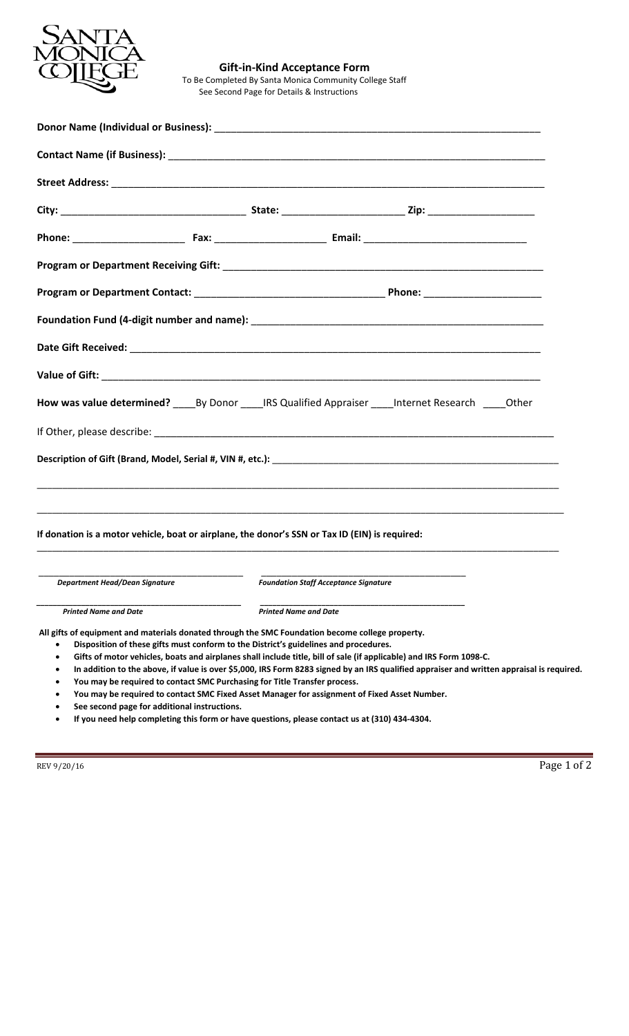

### **Gift-in-Kind Acceptance Form**  To Be Completed By Santa Monica Community College Staff See Second Page for Details & Instructions

|                                                                                                                                                                                                                                                                                                                                                              | How was value determined? By Donor IRS Qualified Appraiser Internet Research 10ther                                                                                                                                                                                                                                                                              |
|--------------------------------------------------------------------------------------------------------------------------------------------------------------------------------------------------------------------------------------------------------------------------------------------------------------------------------------------------------------|------------------------------------------------------------------------------------------------------------------------------------------------------------------------------------------------------------------------------------------------------------------------------------------------------------------------------------------------------------------|
|                                                                                                                                                                                                                                                                                                                                                              |                                                                                                                                                                                                                                                                                                                                                                  |
|                                                                                                                                                                                                                                                                                                                                                              |                                                                                                                                                                                                                                                                                                                                                                  |
|                                                                                                                                                                                                                                                                                                                                                              |                                                                                                                                                                                                                                                                                                                                                                  |
| If donation is a motor vehicle, boat or airplane, the donor's SSN or Tax ID (EIN) is required:                                                                                                                                                                                                                                                               |                                                                                                                                                                                                                                                                                                                                                                  |
| <b>Example 2 Separtment Head/Dean Signature Constraint Constraint Constraint Constraint Constraint Constraint Const</b><br>Foundation Staff Acceptance Signature                                                                                                                                                                                             |                                                                                                                                                                                                                                                                                                                                                                  |
| <b>Printed Name and Date</b>                                                                                                                                                                                                                                                                                                                                 | <b>Printed Name and Date</b>                                                                                                                                                                                                                                                                                                                                     |
| All gifts of equipment and materials donated through the SMC Foundation become college property.<br>Disposition of these gifts must conform to the District's guidelines and procedures.<br>$\bullet$<br>$\bullet$<br>You may be required to contact SMC Purchasing for Title Transfer process.<br>See second page for additional instructions.<br>$\bullet$ | Gifts of motor vehicles, boats and airplanes shall include title, bill of sale (if applicable) and IRS Form 1098-C.<br>In addition to the above, if value is over \$5,000, IRS Form 8283 signed by an IRS qualified appraiser and written appraisal is required.<br>You may be required to contact SMC Fixed Asset Manager for assignment of Fixed Asset Number. |

**If you need help completing this form or have questions, please contact us at (310) 434-4304.** 

REV 9/20/16 Page 1 of 2